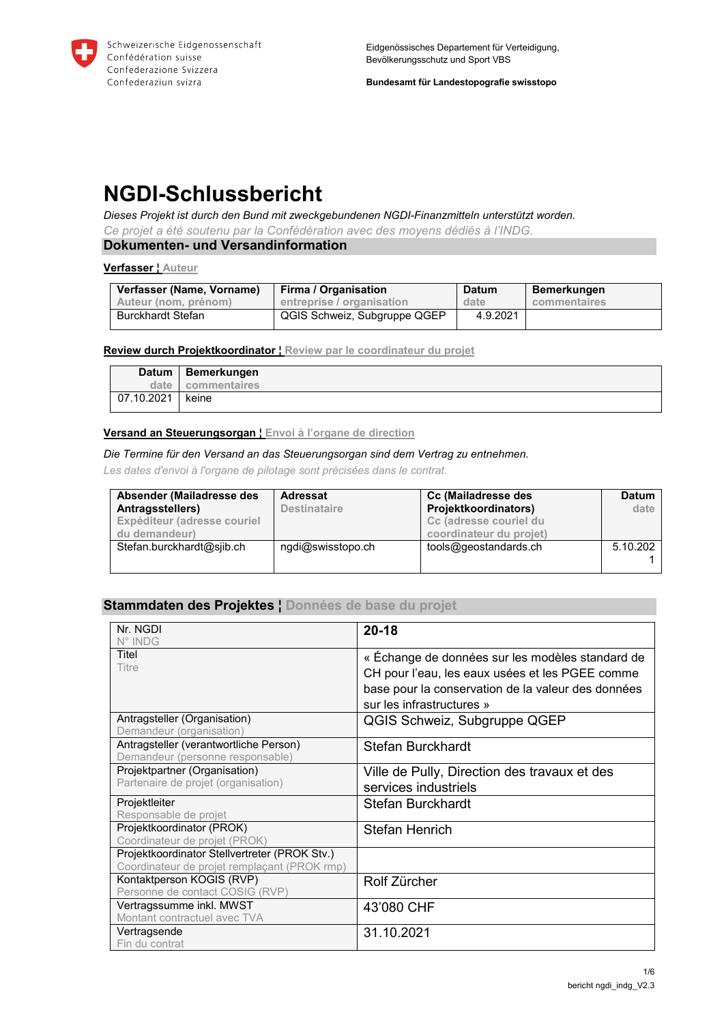

**Bundesamt für Landestopografie swisstopo**

# **NGDI-Schlussbericht**

*Dieses Projekt ist durch den Bund mit zweckgebundenen NGDI-Finanzmitteln unterstützt worden.* 

*Ce projet a été soutenu par la Confédération avec des moyens dédiés à l'INDG.*

#### **Dokumenten- und Versandinformation**

#### **Verfasser ¦ Auteur**

| Verfasser (Name, Vorname) | Firma / Organisation         | <b>Datum</b> | Bemerkungen  |
|---------------------------|------------------------------|--------------|--------------|
| Auteur (nom. prénom)      | entreprise / organisation    | date         | commentaires |
| Burckhardt Stefan         | QGIS Schweiz, Subgruppe QGEP | 4.9.2021     |              |

**Review durch Projektkoordinator ¦ Review par le coordinateur du projet**

| <b>Datum</b> | Bemerkungen  |
|--------------|--------------|
| date         | commentaires |
| 07.10.2021   | keine        |

#### **Versand an Steuerungsorgan ¦ Envoi à l'organe de direction**

*Die Termine für den Versand an das Steuerungsorgan sind dem Vertrag zu entnehmen.*

*Les dates d'envoi à l'organe de pilotage sont précisées dans le contrat.*

| Absender (Mailadresse des<br>Antragsstellers)<br>Expéditeur (adresse couriel<br>du demandeur) | <b>Adressat</b><br><b>Destinataire</b> | Cc (Mailadresse des<br>Projektkoordinators)<br>Cc (adresse couriel du<br>coordinateur du projet) | <b>Datum</b><br>date |
|-----------------------------------------------------------------------------------------------|----------------------------------------|--------------------------------------------------------------------------------------------------|----------------------|
| Stefan.burckhardt@sjib.ch                                                                     | ngdi@swisstopo.ch                      | tools@geostandards.ch                                                                            | 5.10.202             |

#### **Stammdaten des Projektes ¦ Données de base du projet**

| Nr. NGDI                                      | $20 - 18$                                          |
|-----------------------------------------------|----------------------------------------------------|
| N° INDG                                       |                                                    |
| Titel                                         | « Échange de données sur les modèles standard de   |
| Titre                                         | CH pour l'eau, les eaux usées et les PGEE comme    |
|                                               | base pour la conservation de la valeur des données |
|                                               | sur les infrastructures »                          |
| Antragsteller (Organisation)                  | QGIS Schweiz, Subgruppe QGEP                       |
| Demandeur (organisation)                      |                                                    |
| Antragsteller (verantwortliche Person)        | Stefan Burckhardt                                  |
| Demandeur (personne responsable)              |                                                    |
| Projektpartner (Organisation)                 | Ville de Pully, Direction des travaux et des       |
| Partenaire de projet (organisation)           | services industriels                               |
| Projektleiter                                 | Stefan Burckhardt                                  |
| Responsable de projet                         |                                                    |
| Projektkoordinator (PROK)                     | <b>Stefan Henrich</b>                              |
| Coordinateur de projet (PROK)                 |                                                    |
| Projektkoordinator Stellvertreter (PROK Stv.) |                                                    |
| Coordinateur de projet remplaçant (PROK rmp)  |                                                    |
| Kontaktperson KOGIS (RVP)                     | Rolf Zürcher                                       |
| Personne de contact COSIG (RVP)               |                                                    |
| Vertragssumme inkl. MWST                      | 43'080 CHF                                         |
| Montant contractuel avec TVA                  |                                                    |
| Vertragsende                                  | 31.10.2021                                         |
| Fin du contrat                                |                                                    |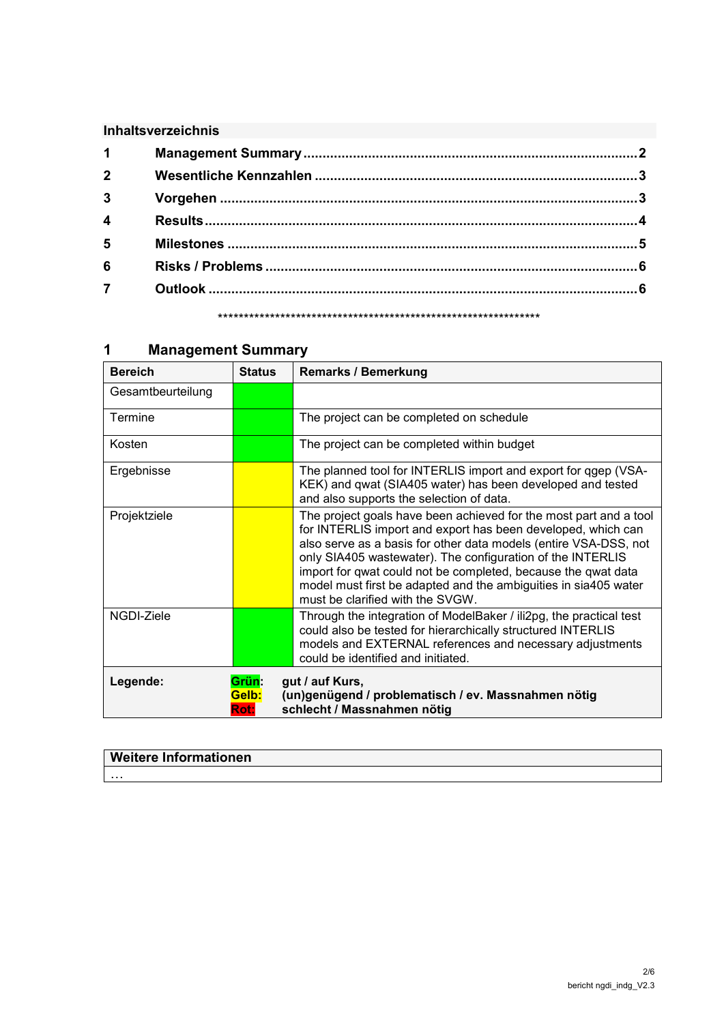**Inhaltsverzeichnis**

| $1 \quad$               |  |
|-------------------------|--|
| $\overline{2}$          |  |
| $\overline{\mathbf{3}}$ |  |
| 4                       |  |
| 5                       |  |
| 6                       |  |
| $\overline{7}$          |  |
|                         |  |

\*\*\*\*\*\*\*\*\*\*\*\*\*\*\*\*\*\*\*\*\*\*\*\*\*\*\*\*\*\*\*\*\*\*\*\*\*\*\*\*\*\*\*\*\*\*\*\*\*\*\*\*\*\*\*\*\*\*\*\*\*\*

| <b>Bereich</b>                                                                                                                                     | <b>Status</b> | <b>Remarks / Bemerkung</b>                                                                                                                                                                                                                                                                                                                                                                                                                  |  |
|----------------------------------------------------------------------------------------------------------------------------------------------------|---------------|---------------------------------------------------------------------------------------------------------------------------------------------------------------------------------------------------------------------------------------------------------------------------------------------------------------------------------------------------------------------------------------------------------------------------------------------|--|
| Gesamtbeurteilung                                                                                                                                  |               |                                                                                                                                                                                                                                                                                                                                                                                                                                             |  |
| Termine                                                                                                                                            |               | The project can be completed on schedule                                                                                                                                                                                                                                                                                                                                                                                                    |  |
| Kosten                                                                                                                                             |               | The project can be completed within budget                                                                                                                                                                                                                                                                                                                                                                                                  |  |
| Ergebnisse                                                                                                                                         |               | The planned tool for INTERLIS import and export for qgep (VSA-<br>KEK) and qwat (SIA405 water) has been developed and tested<br>and also supports the selection of data.                                                                                                                                                                                                                                                                    |  |
| Projektziele                                                                                                                                       |               | The project goals have been achieved for the most part and a tool<br>for INTERLIS import and export has been developed, which can<br>also serve as a basis for other data models (entire VSA-DSS, not<br>only SIA405 wastewater). The configuration of the INTERLIS<br>import for qwat could not be completed, because the qwat data<br>model must first be adapted and the ambiguities in sia405 water<br>must be clarified with the SVGW. |  |
| NGDI-Ziele                                                                                                                                         |               | Through the integration of ModelBaker / ili2pg, the practical test<br>could also be tested for hierarchically structured INTERLIS<br>models and EXTERNAL references and necessary adjustments<br>could be identified and initiated.                                                                                                                                                                                                         |  |
| Grün:<br>gut / auf Kurs,<br>Legende:<br>Gelb:<br>(un)genügend / problematisch / ev. Massnahmen nötig<br>schlecht / Massnahmen nötig<br><b>Rot:</b> |               |                                                                                                                                                                                                                                                                                                                                                                                                                                             |  |

## <span id="page-1-0"></span>**1 Management Summary**

| <b>Weitere Informationen</b> |  |
|------------------------------|--|
| .                            |  |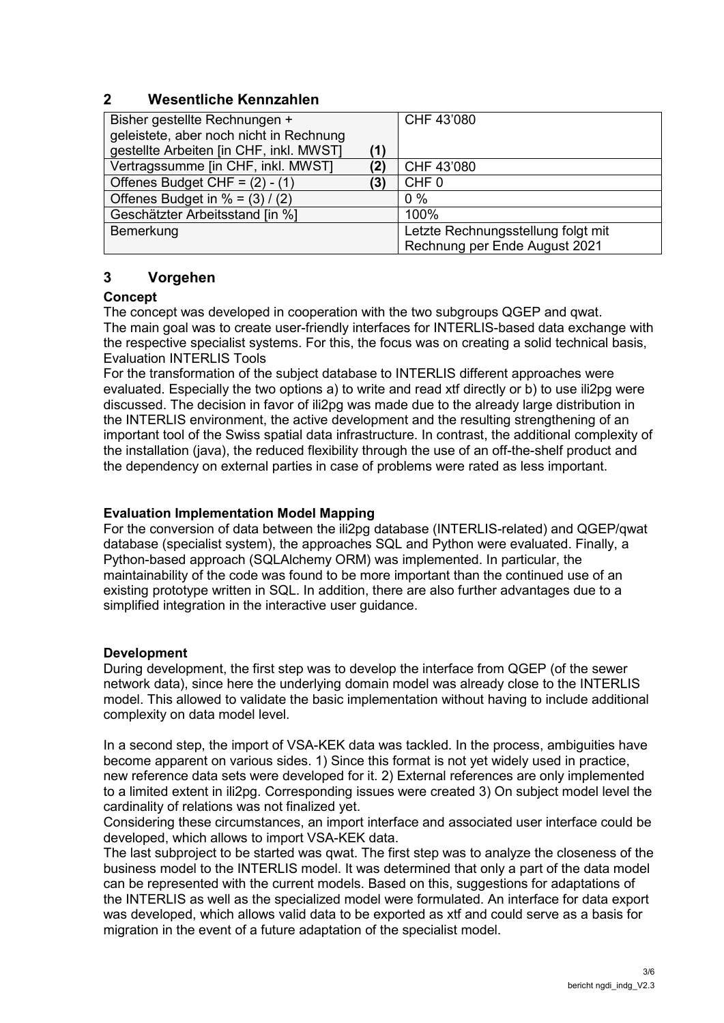## <span id="page-2-0"></span>**2 Wesentliche Kennzahlen**

| Bisher gestellte Rechnungen +           |     | CHF 43'080                         |
|-----------------------------------------|-----|------------------------------------|
| geleistete, aber noch nicht in Rechnung |     |                                    |
| gestellte Arbeiten [in CHF, inkl. MWST] | (1) |                                    |
| Vertragssumme [in CHF, inkl. MWST]      | (2) | CHF 43'080                         |
| Offenes Budget CHF = $(2) - (1)$        | (3) | CHF <sub>0</sub>                   |
| Offenes Budget in $% = (3) / (2)$       |     | $0\%$                              |
| Geschätzter Arbeitsstand [in %]         |     | 100%                               |
| Bemerkung                               |     | Letzte Rechnungsstellung folgt mit |
|                                         |     | Rechnung per Ende August 2021      |

## <span id="page-2-1"></span>**3 Vorgehen**

#### **Concept**

The concept was developed in cooperation with the two subgroups QGEP and qwat. The main goal was to create user-friendly interfaces for INTERLIS-based data exchange with the respective specialist systems. For this, the focus was on creating a solid technical basis, Evaluation INTERLIS Tools

For the transformation of the subject database to INTERLIS different approaches were evaluated. Especially the two options a) to write and read xtf directly or b) to use ili2pg were discussed. The decision in favor of ili2pg was made due to the already large distribution in the INTERLIS environment, the active development and the resulting strengthening of an important tool of the Swiss spatial data infrastructure. In contrast, the additional complexity of the installation (java), the reduced flexibility through the use of an off-the-shelf product and the dependency on external parties in case of problems were rated as less important.

#### **Evaluation Implementation Model Mapping**

For the conversion of data between the ili2pg database (INTERLIS-related) and QGEP/qwat database (specialist system), the approaches SQL and Python were evaluated. Finally, a Python-based approach (SQLAlchemy ORM) was implemented. In particular, the maintainability of the code was found to be more important than the continued use of an existing prototype written in SQL. In addition, there are also further advantages due to a simplified integration in the interactive user guidance.

#### **Development**

During development, the first step was to develop the interface from QGEP (of the sewer network data), since here the underlying domain model was already close to the INTERLIS model. This allowed to validate the basic implementation without having to include additional complexity on data model level.

In a second step, the import of VSA-KEK data was tackled. In the process, ambiguities have become apparent on various sides. 1) Since this format is not yet widely used in practice, new reference data sets were developed for it. 2) External references are only implemented to a limited extent in ili2pg. Corresponding issues were created 3) On subject model level the cardinality of relations was not finalized yet.

Considering these circumstances, an import interface and associated user interface could be developed, which allows to import VSA-KEK data.

The last subproject to be started was qwat. The first step was to analyze the closeness of the business model to the INTERLIS model. It was determined that only a part of the data model can be represented with the current models. Based on this, suggestions for adaptations of the INTERLIS as well as the specialized model were formulated. An interface for data export was developed, which allows valid data to be exported as xtf and could serve as a basis for migration in the event of a future adaptation of the specialist model.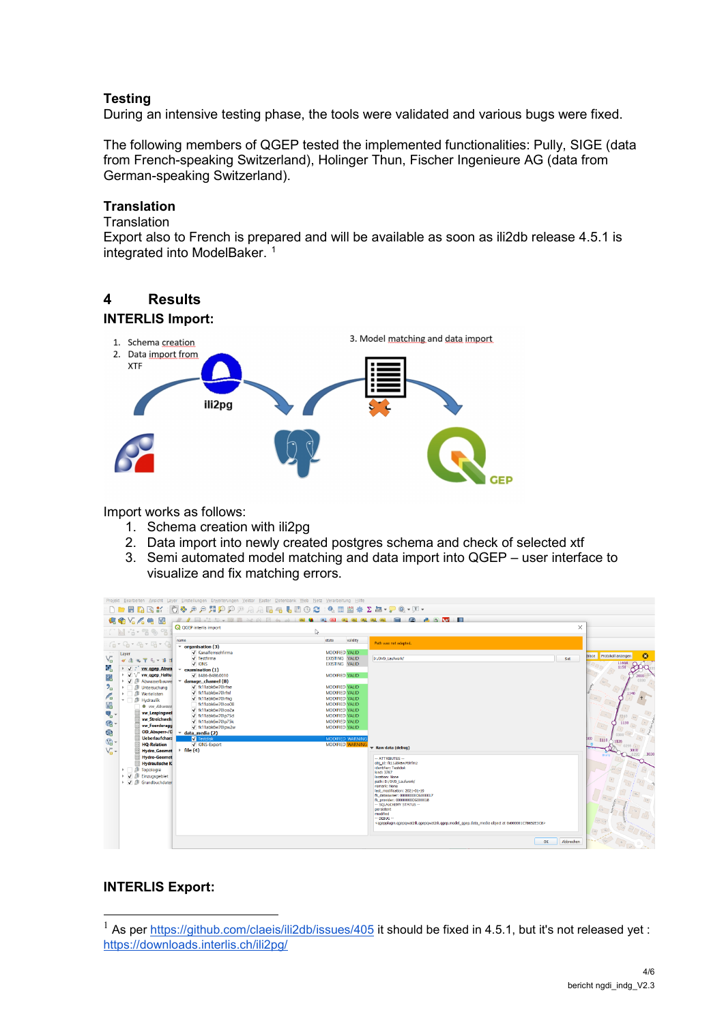## **Testing**

During an intensive testing phase, the tools were validated and various bugs were fixed.

The following members of QGEP tested the implemented functionalities: Pully, SIGE (data from French-speaking Switzerland), Holinger Thun, Fischer Ingenieure AG (data from German-speaking Switzerland).

#### **Translation**

#### **Translation**

Export also to French is prepared and will be available as soon as ili2db release 4.5.1 is integrated into ModelBaker.<sup>[1](#page-3-1)</sup>

## <span id="page-3-0"></span>**4 Results INTERLIS Import:**



Import works as follows:

- 1. Schema creation with ili2pg
- 2. Data import into newly created postgres schema and check of selected xtf
- 3. Semi automated model matching and data import into QGEP user interface to visualize and fix matching errors.



#### **INTERLIS Export:**

<u>.</u>

<span id="page-3-1"></span> $1$  As per<https://github.com/claeis/ili2db/issues/405> it should be fixed in 4.5.1, but it's not released yet : <https://downloads.interlis.ch/ili2pg/>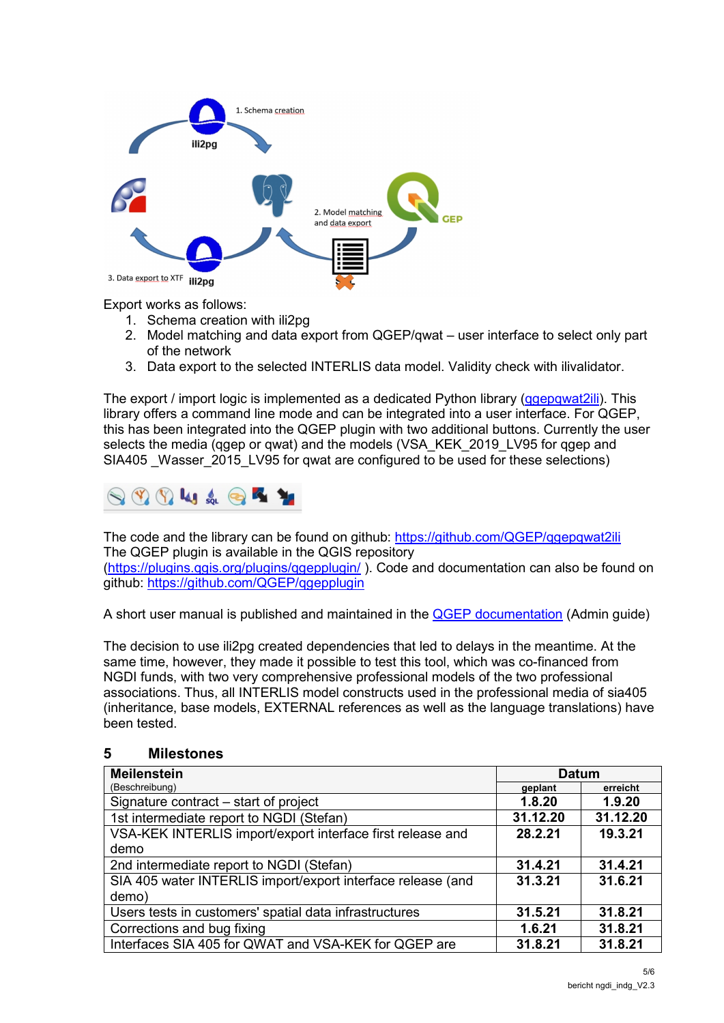

Export works as follows:

- 1. Schema creation with ili2pg
- 2. Model matching and data export from QGEP/qwat user interface to select only part of the network
- 3. Data export to the selected INTERLIS data model. Validity check with ilivalidator.

The export / import logic is implemented as a dedicated Python library [\(qgepqwat2ili\)](https://github.com/QGEP/qgepqwat2ili). This library offers a command line mode and can be integrated into a user interface. For QGEP, this has been integrated into the QGEP plugin with two additional buttons. Currently the user selects the media (qgep or qwat) and the models (VSA\_KEK\_2019\_LV95 for qgep and SIA405 Wasser 2015 LV95 for qwat are configured to be used for these selections)



The code and the library can be found on github:<https://github.com/QGEP/qgepqwat2ili> The QGEP plugin is available in the QGIS repository [\(https://plugins.qgis.org/plugins/qgepplugin/](https://plugins.qgis.org/plugins/qgepplugin/) ). Code and documentation can also be found on github:<https://github.com/QGEP/qgepplugin>

A short user manual is published and maintained in the [QGEP documentation](https://qgep.github.io/docs/admin-guide/index.html) (Admin guide)

The decision to use ili2pg created dependencies that led to delays in the meantime. At the same time, however, they made it possible to test this tool, which was co-financed from NGDI funds, with two very comprehensive professional models of the two professional associations. Thus, all INTERLIS model constructs used in the professional media of sia405 (inheritance, base models, EXTERNAL references as well as the language translations) have been tested.

#### <span id="page-4-0"></span>**5 Milestones**

| <b>Meilenstein</b>                                          | <b>Datum</b> |          |
|-------------------------------------------------------------|--------------|----------|
| (Beschreibung)                                              | geplant      | erreicht |
| Signature contract – start of project                       | 1.8.20       | 1.9.20   |
| 1st intermediate report to NGDI (Stefan)                    | 31.12.20     | 31.12.20 |
| VSA-KEK INTERLIS import/export interface first release and  | 28.2.21      | 19.3.21  |
| demo                                                        |              |          |
| 2nd intermediate report to NGDI (Stefan)                    | 31.4.21      | 31.4.21  |
| SIA 405 water INTERLIS import/export interface release (and | 31.3.21      | 31.6.21  |
| demo)                                                       |              |          |
| Users tests in customers' spatial data infrastructures      | 31.5.21      | 31.8.21  |
| Corrections and bug fixing                                  | 1.6.21       | 31.8.21  |
| Interfaces SIA 405 for QWAT and VSA-KEK for QGEP are        | 31.8.21      | 31.8.21  |